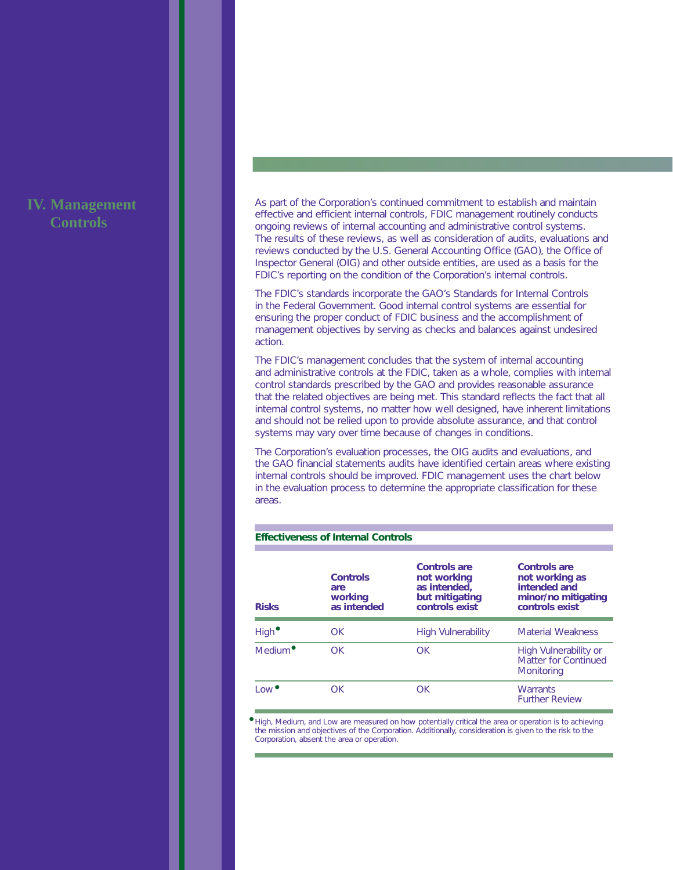# **IV. Management Controls**

As part of the Corporation's continued commitment to establish and maintain effective and efficient internal controls, FDIC management routinely conducts ongoing reviews of internal accounting and administrative control systems. The results of these reviews, as well as consideration of audits, evaluations and reviews conducted by the U.S. General Accounting Office (GAO), the Office of Inspector General (OIG) and other outside entities, are used as a basis for the FDIC's reporting on the condition of the Corporation's internal controls.

The FDIC's standards incorporate the *GAO's Standards for Internal Controls in the Federal Government*. Good internal control systems are essential for ensuring the proper conduct of FDIC business and the accomplishment of management objectives by serving as checks and balances against undesired action.

The FDIC's management concludes that the system of internal accounting and administrative controls at the FDIC, taken as a whole, complies with internal control standards prescribed by the GAO and provides reasonable assurance that the related objectives are being met. This standard reflects the fact that all internal control systems, no matter how well designed, have inherent limitations and should not be relied upon to provide absolute assurance, and that control systems may vary over time because of changes in conditions.

The Corporation's evaluation processes, the OIG audits and evaluations, and the GAO financial statements audits have identified certain areas where existing internal controls should be improved. FDIC management uses the chart below in the evaluation process to determine the appropriate classification for these areas.

### **Effectiveness of Internal Controls**

| <b>Risks</b>                          | <b>Controls</b><br>are<br>working<br>as intended | Controls are<br>not working<br>as intended,<br>but mitigating<br>controls exist | Controls are<br>not working as<br>intended and<br>minor/no mitigating<br>controls exist |
|---------------------------------------|--------------------------------------------------|---------------------------------------------------------------------------------|-----------------------------------------------------------------------------------------|
| High <sup>•</sup>                     | OK                                               | <b>High Vulnerability</b>                                                       | <b>Material Weakness</b>                                                                |
| Medium <sup>o</sup>                   | $\bigcap K$                                      | OK.                                                                             | High Vulnerability or<br>Matter for Continued<br>Monitoring                             |
| $Low$ <sup><math>\bullet</math></sup> | $\bigcap K$                                      | OK                                                                              | <b>Warrants</b><br><b>Further Review</b>                                                |

• High, Medium, and Low are measured on how potentially critical the area or operation is to achieving the mission and objectives of the Corporation. Additionally, consideration is given to the risk to the Corporation, absent the area or operation.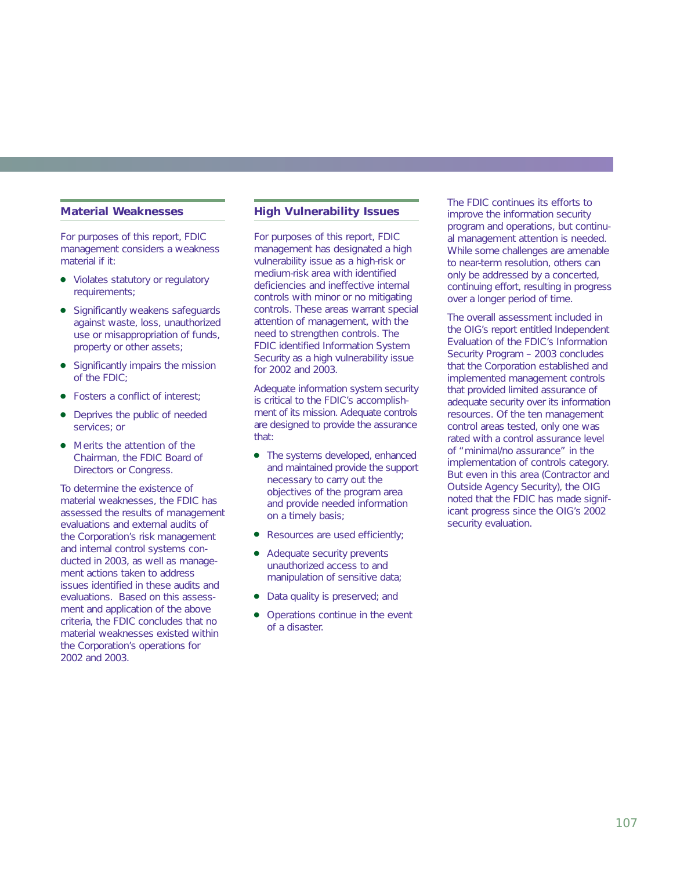## **Material Weaknesses**

For purposes of this report, FDIC management considers a weakness material if it:

- Violates statutory or regulatory requirements;
- Significantly weakens safeguards against waste, loss, unauthorized use or misappropriation of funds, property or other assets;
- Significantly impairs the mission of the FDIC;
- Fosters a conflict of interest:
- Deprives the public of needed services; or
- Merits the attention of the Chairman, the FDIC Board of Directors or Congress.

To determine the existence of material weaknesses, the FDIC has assessed the results of management evaluations and external audits of the Corporation's risk management and internal control systems conducted in 2003, as well as management actions taken to address issues identified in these audits and evaluations. Based on this assessment and application of the above criteria, the FDIC concludes that no material weaknesses existed within the Corporation's operations for 2002 and 2003.

### **High Vulnerability Issues**

For purposes of this report, FDIC management has designated a high vulnerability issue as a high-risk or medium-risk area with identified deficiencies and ineffective internal controls with minor or no mitigating controls. These areas warrant special attention of management, with the need to strengthen controls. The FDIC identified Information System Security as a high vulnerability issue for 2002 and 2003.

Adequate information system security is critical to the FDIC's accomplishment of its mission. Adequate controls are designed to provide the assurance that:

- The systems developed, enhanced and maintained provide the support necessary to carry out the objectives of the program area and provide needed information on a timely basis;
- Resources are used efficiently;
- Adequate security prevents unauthorized access to and manipulation of sensitive data;
- Data quality is preserved; and
- Operations continue in the event of a disaster.

The FDIC continues its efforts to improve the information security program and operations, but continual management attention is needed. While some challenges are amenable to near-term resolution, others can only be addressed by a concerted, continuing effort, resulting in progress over a longer period of time.

The overall assessment included in the OIG's report entitled *Independent Evaluation of the FDIC's Information Security Program – 2003* concludes that the Corporation established and implemented management controls that provided limited assurance of adequate security over its information resources. Of the ten management control areas tested, only one was rated with a control assurance level of "minimal/no assurance" in the implementation of controls category. But even in this area (Contractor and Outside Agency Security), the OIG noted that the FDIC has made significant progress since the OIG's 2002 security evaluation.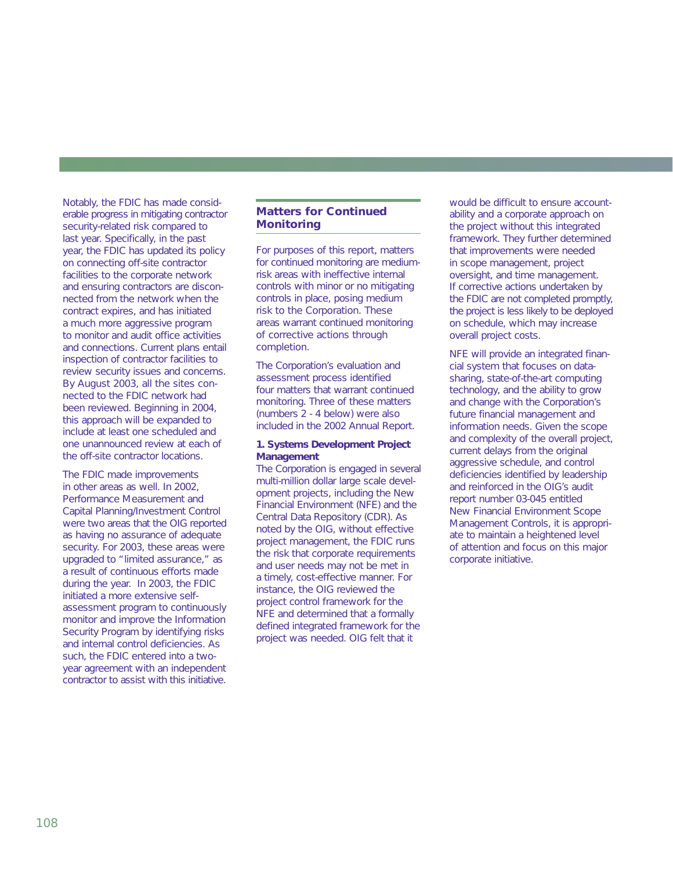Notably, the FDIC has made considerable progress in mitigating contractor security-related risk compared to last year. Specifically, in the past year, the FDIC has updated its policy on connecting off-site contractor facilities to the corporate network and ensuring contractors are disconnected from the network when the contract expires, and has initiated a much more aggressive program to monitor and audit office activities and connections. Current plans entail inspection of contractor facilities to review security issues and concerns. By August 2003, all the sites connected to the FDIC network had been reviewed. Beginning in 2004, this approach will be expanded to include at least one scheduled and one unannounced review at each of the off-site contractor locations.

The FDIC made improvements in other areas as well. In 2002, Performance Measurement and Capital Planning/Investment Control were two areas that the OIG reported as having no assurance of adequate security. For 2003, these areas were upgraded to "limited assurance," as a result of continuous efforts made during the year. In 2003, the FDIC initiated a more extensive selfassessment program to continuously monitor and improve the Information Security Program by identifying risks and internal control deficiencies. As such, the FDIC entered into a twoyear agreement with an independent contractor to assist with this initiative.

# **Matters for Continued Monitoring**

For purposes of this report, matters for continued monitoring are mediumrisk areas with ineffective internal controls with minor or no mitigating controls in place, posing medium risk to the Corporation. These areas warrant continued monitoring of corrective actions through completion.

The Corporation's evaluation and assessment process identified four matters that warrant continued monitoring. Three of these matters (numbers 2 - 4 below) were also included in the 2002 Annual Report.

#### **1. Systems Development Project Management**

The Corporation is engaged in several multi-million dollar large scale development projects, including the New Financial Environment (NFE) and the Central Data Repository (CDR). As noted by the OIG, without effective project management, the FDIC runs the risk that corporate requirements and user needs may not be met in a timely, cost-effective manner. For instance, the OIG reviewed the project control framework for the NFE and determined that a formally defined integrated framework for the project was needed. OIG felt that it

would be difficult to ensure accountability and a corporate approach on the project without this integrated framework. They further determined that improvements were needed in scope management, project oversight, and time management. If corrective actions undertaken by the FDIC are not completed promptly, the project is less likely to be deployed on schedule, which may increase overall project costs.

NFE will provide an integrated financial system that focuses on datasharing, state-of-the-art computing technology, and the ability to grow and change with the Corporation's future financial management and information needs. Given the scope and complexity of the overall project, current delays from the original aggressive schedule, and control deficiencies identified by leadership and reinforced in the OIG's audit report number 03-045 entitled *New Financial Environment Scope Management Controls*, it is appropriate to maintain a heightened level of attention and focus on this major corporate initiative.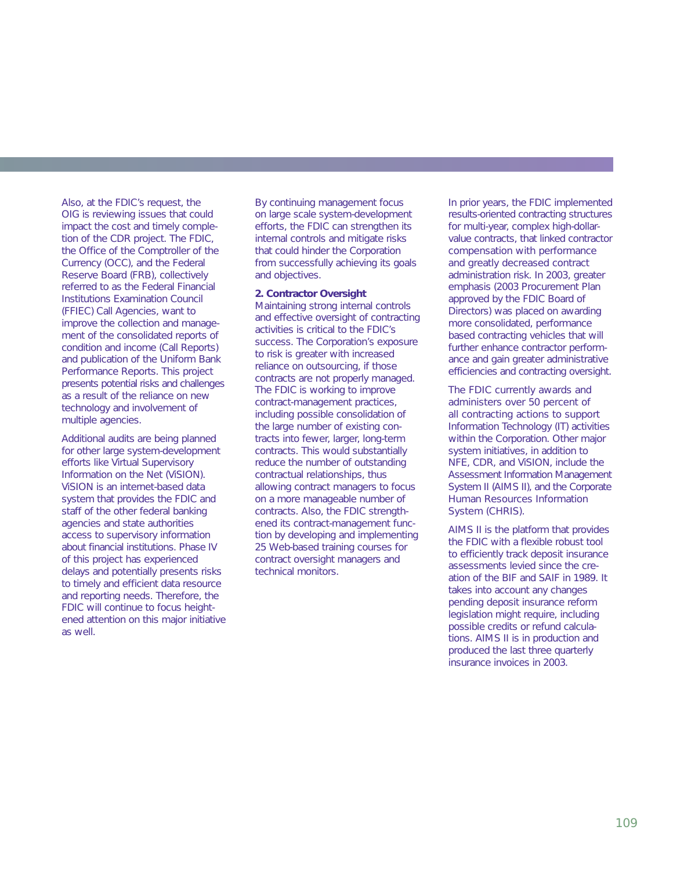Also, at the FDIC's request, the OIG is reviewing issues that could impact the cost and timely completion of the CDR project. The FDIC, the Office of the Comptroller of the Currency (OCC), and the Federal Reserve Board (FRB), collectively referred to as the Federal Financial Institutions Examination Council (FFIEC) Call Agencies, want to improve the collection and management of the consolidated reports of condition and income (Call Reports) and publication of the Uniform Bank Performance Reports. This project presents potential risks and challenges as a result of the reliance on new technology and involvement of multiple agencies.

Additional audits are being planned for other large system-development efforts like Virtual Supervisory Information on the Net (ViSION). ViSION is an internet-based data system that provides the FDIC and staff of the other federal banking agencies and state authorities access to supervisory information about financial institutions. Phase IV of this project has experienced delays and potentially presents risks to timely and efficient data resource and reporting needs. Therefore, the FDIC will continue to focus heightened attention on this major initiative as well.

By continuing management focus on large scale system-development efforts, the FDIC can strengthen its internal controls and mitigate risks that could hinder the Corporation from successfully achieving its goals and objectives.

### **2. Contractor Oversight**

Maintaining strong internal controls and effective oversight of contracting activities is critical to the FDIC's success. The Corporation's exposure to risk is greater with increased reliance on outsourcing, if those contracts are not properly managed. The FDIC is working to improve contract-management practices, including possible consolidation of the large number of existing contracts into fewer, larger, long-term contracts. This would substantially reduce the number of outstanding contractual relationships, thus allowing contract managers to focus on a more manageable number of contracts. Also, the FDIC strengthened its contract-management function by developing and implementing 25 Web-based training courses for contract oversight managers and technical monitors.

In prior years, the FDIC implemented results-oriented contracting structures for multi-year, complex high-dollarvalue contracts, that linked contractor compensation with performance and greatly decreased contract administration risk. In 2003, greater emphasis (2003 Procurement Plan approved by the FDIC Board of Directors) was placed on awarding more consolidated, performance based contracting vehicles that will further enhance contractor performance and gain greater administrative efficiencies and contracting oversight.

The FDIC currently awards and administers over 50 percent of all contracting actions to support Information Technology (IT) activities within the Corporation. Other major system initiatives, in addition to NFE, CDR, and ViSION, include the Assessment Information Management System II (AIMS II), and the Corporate Human Resources Information System (CHRIS).

AIMS II is the platform that provides the FDIC with a flexible robust tool to efficiently track deposit insurance assessments levied since the creation of the BIF and SAIF in 1989. It takes into account any changes pending deposit insurance reform legislation might require, including possible credits or refund calculations. AIMS II is in production and produced the last three quarterly insurance invoices in 2003.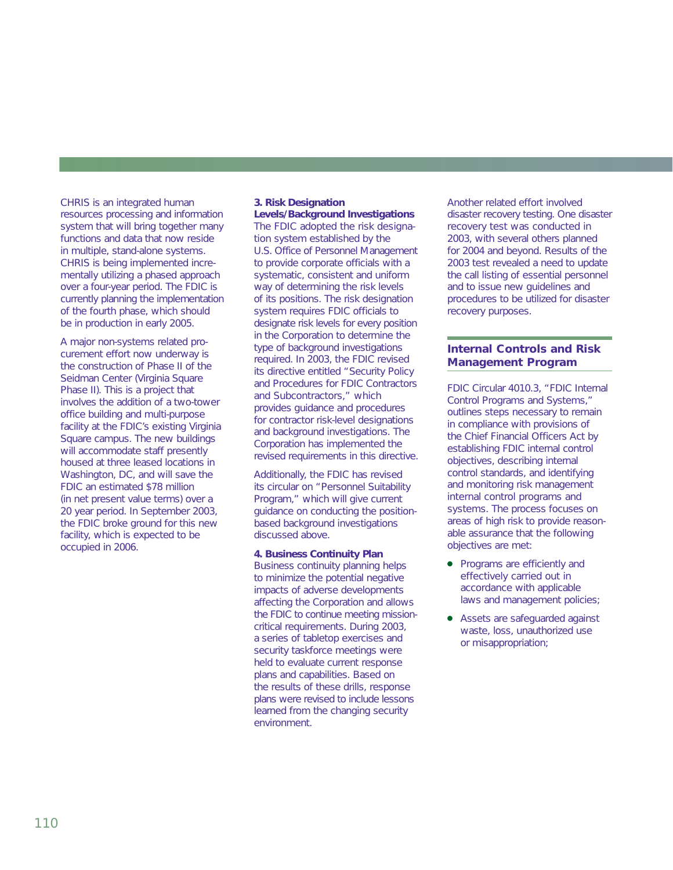CHRIS is an integrated human resources processing and information system that will bring together many functions and data that now reside in multiple, stand-alone systems. CHRIS is being implemented incrementally utilizing a phased approach over a four-year period. The FDIC is currently planning the implementation of the fourth phase, which should be in production in early 2005.

A major non-systems related procurement effort now underway is the construction of Phase II of the Seidman Center (Virginia Square Phase II). This is a project that involves the addition of a two-tower office building and multi-purpose facility at the FDIC's existing Virginia Square campus. The new buildings will accommodate staff presently housed at three leased locations in Washington, DC, and will save the FDIC an estimated \$78 million (in net present value terms) over a 20 year period. In September 2003, the FDIC broke ground for this new facility, which is expected to be occupied in 2006.

# **3. Risk Designation**

**Levels/Background Investigations** The FDIC adopted the risk designation system established by the U.S. Office of Personnel Management to provide corporate officials with a systematic, consistent and uniform way of determining the risk levels of its positions. The risk designation system requires FDIC officials to designate risk levels for every position in the Corporation to determine the type of background investigations required. In 2003, the FDIC revised its directive entitled "Security Policy and Procedures for FDIC Contractors and Subcontractors," which provides guidance and procedures for contractor risk-level designations and background investigations. The Corporation has implemented the revised requirements in this directive.

Additionally, the FDIC has revised its circular on "Personnel Suitability Program," which will give current guidance on conducting the positionbased background investigations discussed above.

#### **4. Business Continuity Plan**

Business continuity planning helps to minimize the potential negative impacts of adverse developments affecting the Corporation and allows the FDIC to continue meeting missioncritical requirements. During 2003, a series of tabletop exercises and security taskforce meetings were held to evaluate current response plans and capabilities. Based on the results of these drills, response plans were revised to include lessons learned from the changing security environment.

Another related effort involved disaster recovery testing. One disaster recovery test was conducted in 2003, with several others planned for 2004 and beyond. Results of the 2003 test revealed a need to update the call listing of essential personnel and to issue new guidelines and procedures to be utilized for disaster recovery purposes.

# **Internal Controls and Risk Management Program**

FDIC Circular 4010.3, "FDIC Internal Control Programs and Systems," outlines steps necessary to remain in compliance with provisions of the Chief Financial Officers Act by establishing FDIC internal control objectives, describing internal control standards, and identifying and monitoring risk management internal control programs and systems. The process focuses on areas of high risk to provide reasonable assurance that the following objectives are met:

- Programs are efficiently and effectively carried out in accordance with applicable laws and management policies;
- Assets are safeguarded against waste, loss, unauthorized use or misappropriation;